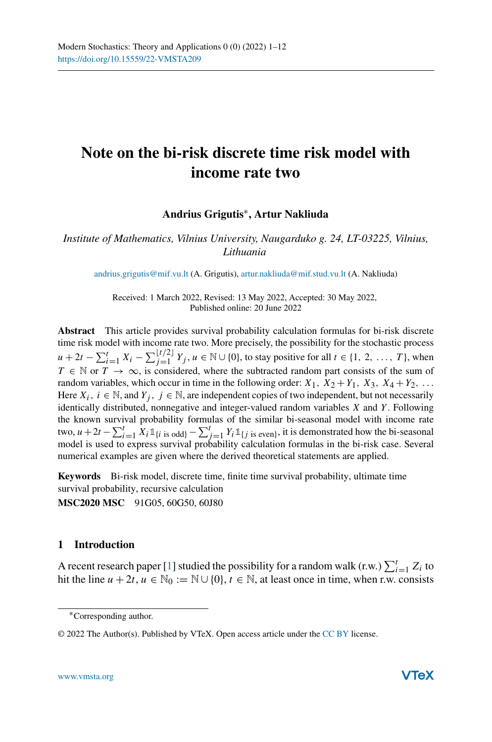# **Note on the bi-risk discrete time risk model with income rate two**

# **Andrius Grigutis**∗**, Artur Nakliuda**

*Institute of Mathematics, Vilnius University, Naugarduko g. 24, LT-03225, Vilnius, Lithuania*

[andrius.grigutis@mif.vu.lt](mailto:andrius.grigutis@mif.vu.lt) (A. Grigutis), [artur.nakliuda@mif.stud.vu.lt](mailto:artur.nakliuda@mif.stud.vu.lt) (A. Nakliuda)

Received: 1 March 2022, Revised: 13 May 2022, Accepted: 30 May 2022, Published online: 20 June 2022

**Abstract** This article provides survival probability calculation formulas for bi-risk discrete time risk model with income rate two. More precisely, the possibility for the stochastic process *u* + 2*t* −  $\sum_{i=1}^{t} X_i$  −  $\sum_{j=1}^{\lfloor t/2 \rfloor} Y_j$ , *u* ∈ N ∪ {0}, to stay positive for all *t* ∈ {1, 2, ..., *T*}, when  $T \in \mathbb{N}$  or  $T \to \infty$ , is considered, where the subtracted random part consists of the sum of random variables, which occur in time in the following order:  $X_1$ ,  $X_2 + Y_1$ ,  $X_3$ ,  $X_4 + Y_2$ , ... Here  $X_i$ ,  $i \in \mathbb{N}$ , and  $Y_j$ ,  $j \in \mathbb{N}$ , are independent copies of two independent, but not necessarily identically distributed, nonnegative and integer-valued random variables *X* and *Y* . Following the known survival probability formulas of the similar bi-seasonal model with income rate two,  $u + 2t - \sum_{i=1}^{t} X_i \mathbb{1}_{\{i \text{ is odd}\}} - \sum_{j=1}^{t} Y_i \mathbb{1}_{\{j \text{ is even}\}}$ , it is demonstrated how the bi-seasonal model is used to express survival probability calculation formulas in the bi-risk case. Several numerical examples are given where the derived theoretical statements are applied.

**Keywords** Bi-risk model, discrete time, finite time survival probability, ultimate time survival probability, recursive calculation **MSC2020 MSC** 91G05, 60G50, 60J80

## **1 Introduction**

A recent research paper [\[1\]](#page-10-0) studied the possibility for a random walk (r.w.)  $\sum_{i=1}^{t} Z_i$  to hit the line  $u + 2t$ ,  $u \in \mathbb{N}_0 := \mathbb{N} \cup \{0\}$ ,  $t \in \mathbb{N}$ , at least once in time, when r.w. consists

<sup>∗</sup>Corresponding author.

<sup>© 2022</sup> The Author(s). Published by VTeX. Open access article under the [CC BY](http://creativecommons.org/licenses/by/4.0/) license.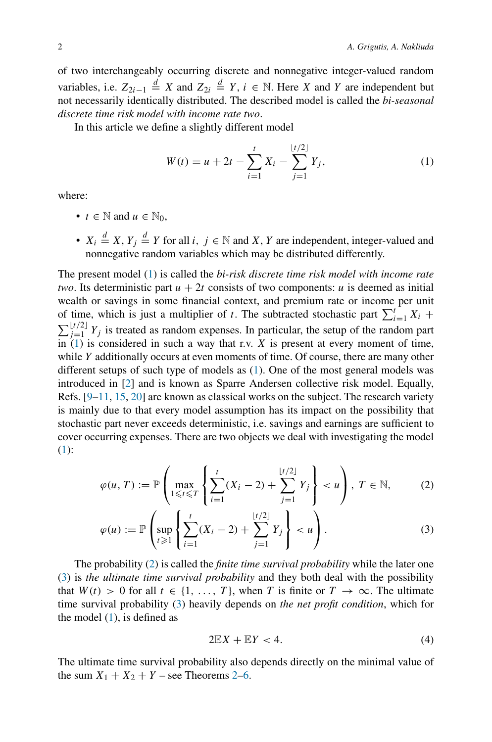of two interchangeably occurring discrete and nonnegative integer-valued random variables, i.e.  $Z_{2i-1} \stackrel{d}{=} X$  and  $Z_{2i} \stackrel{d}{=} Y$ ,  $i \in \mathbb{N}$ . Here X and Y are independent but not necessarily identically distributed. The described model is called the *bi-seasonal discrete time risk model with income rate two*.

In this article we define a slightly different model

<span id="page-1-0"></span>
$$
W(t) = u + 2t - \sum_{i=1}^{t} X_i - \sum_{j=1}^{\lfloor t/2 \rfloor} Y_j,
$$
 (1)

where:

- $t \in \mathbb{N}$  and  $u \in \mathbb{N}_0$ ,
- $X_i \stackrel{d}{=} X, Y_j \stackrel{d}{=} Y$  for all *i*,  $j \in \mathbb{N}$  and *X*, *Y* are independent, integer-valued and nonnegative random variables which may be distributed differently.

The present model [\(1\)](#page-1-0) is called the *bi-risk discrete time risk model with income rate two*. Its deterministic part  $u + 2t$  consists of two components: *u* is deemed as initial wealth or savings in some financial context, and premium rate or income per unit of time, which is just a multiplier of *t*. The subtracted stochastic part  $\sum_{i=1}^{t} X_i$  +  $\sum_{j=1}^{\lfloor t/2 \rfloor} Y_j$  is treated as random expenses. In particular, the setup of the random part in  $(1)$  is considered in such a way that r.v. *X* is present at every moment of time, while *Y* additionally occurs at even moments of time. Of course, there are many other different setups of such type of models as [\(1\)](#page-1-0). One of the most general models was introduced in [\[2](#page-10-1)] and is known as Sparre Andersen collective risk model. Equally, Refs. [\[9](#page-11-0)[–11](#page-11-1), [15,](#page-11-2) [20](#page-11-3)] are known as classical works on the subject. The research variety is mainly due to that every model assumption has its impact on the possibility that stochastic part never exceeds deterministic, i.e. savings and earnings are sufficient to cover occurring expenses. There are two objects we deal with investigating the model [\(1\)](#page-1-0):

$$
\varphi(u, T) := \mathbb{P}\left(\max_{1 \leq t \leq T} \left\{ \sum_{i=1}^{t} (X_i - 2) + \sum_{j=1}^{\lfloor t/2 \rfloor} Y_j \right\} < u\right), \ T \in \mathbb{N},\tag{2}
$$

$$
\varphi(u) := \mathbb{P}\left(\sup_{t \geq 1} \left\{ \sum_{i=1}^{t} (X_i - 2) + \sum_{j=1}^{\lfloor t/2 \rfloor} Y_j \right\} < u\right). \tag{3}
$$

The probability [\(2\)](#page-1-1) is called the *finite time survival probability* while the later one [\(3\)](#page-1-2) is *the ultimate time survival probability* and they both deal with the possibility that  $W(t) > 0$  for all  $t \in \{1, ..., T\}$ , when *T* is finite or  $T \to \infty$ . The ultimate time survival probability [\(3\)](#page-1-2) heavily depends on *the net profit condition*, which for the model  $(1)$ , is defined as

<span id="page-1-2"></span><span id="page-1-1"></span>
$$
2\mathbb{E}X + \mathbb{E}Y < 4.\tag{4}
$$

The ultimate time survival probability also depends directly on the minimal value of the sum  $X_1 + X_2 + Y$  $X_1 + X_2 + Y$  $X_1 + X_2 + Y$  – see Theorems 2[–6.](#page-6-0)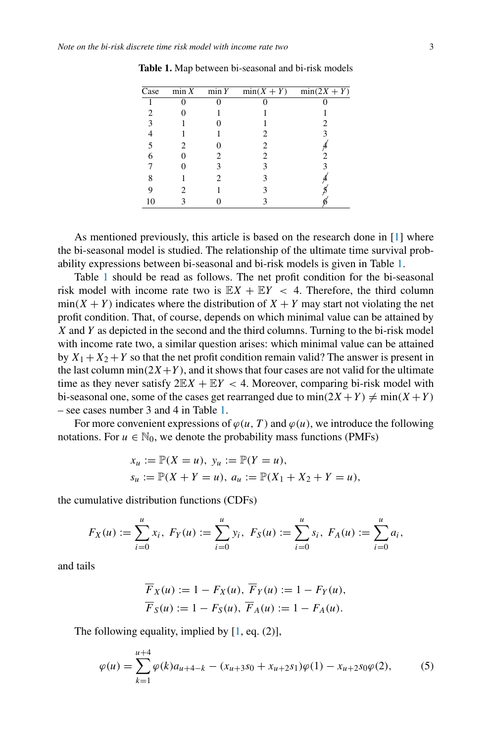| Case | $\min X$ $\min Y$ | $min(X + Y)$ | $min(2X + Y)$ |
|------|-------------------|--------------|---------------|
|      |                   |              |               |
|      |                   |              |               |
|      |                   |              |               |
|      |                   |              |               |
|      |                   | 2            |               |
|      |                   | 2            |               |
|      |                   |              |               |
|      |                   |              |               |
|      |                   |              |               |
| 10   |                   |              |               |

<span id="page-2-0"></span>**Table 1.** Map between bi-seasonal and bi-risk models

As mentioned previously, this article is based on the research done in [\[1\]](#page-10-0) where the bi-seasonal model is studied. The relationship of the ultimate time survival probability expressions between bi-seasonal and bi-risk models is given in Table [1.](#page-2-0)

Table [1](#page-2-0) should be read as follows. The net profit condition for the bi-seasonal risk model with income rate two is  $\mathbb{E}[X + \mathbb{E}[Y] < 4]$ . Therefore, the third column  $min(X + Y)$  indicates where the distribution of  $X + Y$  may start not violating the net profit condition. That, of course, depends on which minimal value can be attained by *X* and *Y* as depicted in the second and the third columns. Turning to the bi-risk model with income rate two, a similar question arises: which minimal value can be attained by  $X_1 + X_2 + Y$  so that the net profit condition remain valid? The answer is present in the last column min $(2X+Y)$ , and it shows that four cases are not valid for the ultimate time as they never satisfy  $2E(X + EY < 4$ . Moreover, comparing bi-risk model with bi-seasonal one, some of the cases get rearranged due to  $min(2X + Y) \neq min(X + Y)$ – see cases number 3 and 4 in Table [1.](#page-2-0)

For more convenient expressions of  $\varphi(u, T)$  and  $\varphi(u)$ , we introduce the following notations. For  $u \in \mathbb{N}_0$ , we denote the probability mass functions (PMFs)

$$
x_u := \mathbb{P}(X = u), \ y_u := \mathbb{P}(Y = u), s_u := \mathbb{P}(X + Y = u), \ a_u := \mathbb{P}(X_1 + X_2 + Y = u),
$$

the cumulative distribution functions (CDFs)

$$
F_X(u) := \sum_{i=0}^u x_i, \ F_Y(u) := \sum_{i=0}^u y_i, \ F_S(u) := \sum_{i=0}^u s_i, \ F_A(u) := \sum_{i=0}^u a_i,
$$

and tails

<span id="page-2-1"></span>
$$
\overline{F}_X(u) := 1 - F_X(u), \overline{F}_Y(u) := 1 - F_Y(u),
$$
  
\n $\overline{F}_S(u) := 1 - F_S(u), \overline{F}_A(u) := 1 - F_A(u).$ 

The following equality, implied by  $[1, eq. (2)],$  $[1, eq. (2)],$ 

$$
\varphi(u) = \sum_{k=1}^{u+4} \varphi(k)a_{u+4-k} - (x_{u+3}s_0 + x_{u+2}s_1)\varphi(1) - x_{u+2}s_0\varphi(2),
$$
 (5)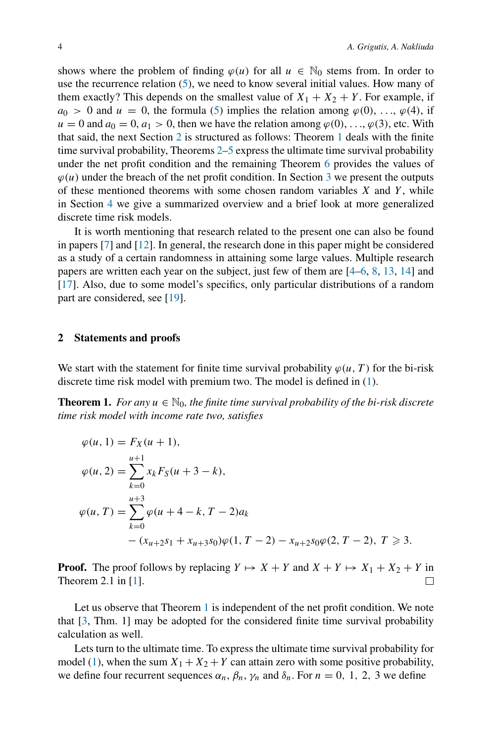shows where the problem of finding  $\varphi(u)$  for all  $u \in \mathbb{N}_0$  stems from. In order to use the recurrence relation [\(5\)](#page-2-1), we need to know several initial values. How many of them exactly? This depends on the smallest value of  $X_1 + X_2 + Y$ . For example, if  $a_0 > 0$  and  $u = 0$ , the formula [\(5\)](#page-2-1) implies the relation among  $\varphi(0), \ldots, \varphi(4)$ , if  $u = 0$  and  $a_0 = 0$ ,  $a_1 > 0$ , then we have the relation among  $\varphi(0)$ , ...,  $\varphi(3)$ , etc. With that said, the next Section [2](#page-3-0) is structured as follows: Theorem [1](#page-3-1) deals with the finite time survival probability, Theorems [2–](#page-4-0)[5](#page-6-1) express the ultimate time survival probability under the net profit condition and the remaining Theorem [6](#page-6-0) provides the values of  $\varphi(u)$  under the breach of the net profit condition. In Section [3](#page-7-0) we present the outputs of these mentioned theorems with some chosen random variables *X* and *Y*, while in Section [4](#page-10-2) we give a summarized overview and a brief look at more generalized discrete time risk models.

It is worth mentioning that research related to the present one can also be found in papers [\[7](#page-11-4)] and [\[12\]](#page-11-5). In general, the research done in this paper might be considered as a study of a certain randomness in attaining some large values. Multiple research papers are written each year on the subject, just few of them are [\[4](#page-11-6)[–6,](#page-11-7) [8,](#page-11-8) [13,](#page-11-9) [14\]](#page-11-10) and [\[17](#page-11-11)]. Also, due to some model's specifics, only particular distributions of a random part are considered, see [\[19](#page-11-12)].

#### <span id="page-3-0"></span>**2 Statements and proofs**

We start with the statement for finite time survival probability  $\varphi(u, T)$  for the bi-risk discrete time risk model with premium two. The model is defined in [\(1\)](#page-1-0).

<span id="page-3-1"></span>**Theorem 1.** *For any*  $u \in \mathbb{N}_0$ , the finite time survival probability of the bi-risk discrete *time risk model with income rate two, satisfies*

$$
\varphi(u, 1) = F_X(u + 1),
$$
  
\n
$$
\varphi(u, 2) = \sum_{k=0}^{u+1} x_k F_S(u + 3 - k),
$$
  
\n
$$
\varphi(u, T) = \sum_{k=0}^{u+3} \varphi(u + 4 - k, T - 2)a_k
$$
  
\n
$$
-(x_{u+2}s_1 + x_{u+3}s_0)\varphi(1, T - 2) - x_{u+2}s_0\varphi(2, T - 2), T \ge 3.
$$

**Proof.** The proof follows by replacing  $Y \mapsto X + Y$  and  $X + Y \mapsto X_1 + X_2 + Y$  in Theorem 2.1 in [\[1\]](#page-10-0). П

Let us observe that Theorem [1](#page-3-1) is independent of the net profit condition. We note that [\[3](#page-10-3), Thm. 1] may be adopted for the considered finite time survival probability calculation as well.

Lets turn to the ultimate time. To express the ultimate time survival probability for model [\(1\)](#page-1-0), when the sum  $X_1 + X_2 + Y$  can attain zero with some positive probability, we define four recurrent sequences  $\alpha_n$ ,  $\beta_n$ ,  $\gamma_n$  and  $\delta_n$ . For  $n = 0, 1, 2, 3$  we define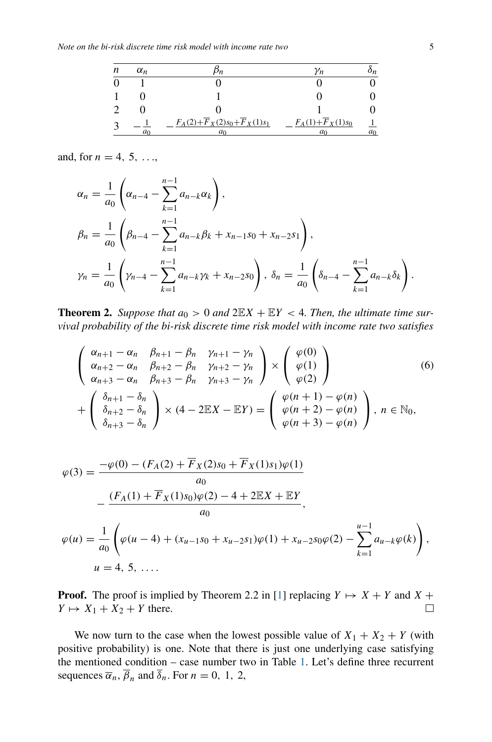| n | $\alpha_n$ |                                                        | Yn                               | υn    |
|---|------------|--------------------------------------------------------|----------------------------------|-------|
|   |            |                                                        |                                  |       |
|   |            |                                                        |                                  |       |
|   |            |                                                        |                                  |       |
|   | a٥         | $F_A(2) + \overline{F}_X(2)s_0 + \overline{F}_X(1)s_1$ | $F_A(1) + \overline{F}_X(1) s_0$ | $a_0$ |

and, for  $n = 4, 5, \ldots$ 

$$
\alpha_n = \frac{1}{a_0} \left( \alpha_{n-4} - \sum_{k=1}^{n-1} a_{n-k} \alpha_k \right),
$$
  
\n
$$
\beta_n = \frac{1}{a_0} \left( \beta_{n-4} - \sum_{k=1}^{n-1} a_{n-k} \beta_k + x_{n-1} s_0 + x_{n-2} s_1 \right),
$$
  
\n
$$
\gamma_n = \frac{1}{a_0} \left( \gamma_{n-4} - \sum_{k=1}^{n-1} a_{n-k} \gamma_k + x_{n-2} s_0 \right), \delta_n = \frac{1}{a_0} \left( \delta_{n-4} - \sum_{k=1}^{n-1} a_{n-k} \delta_k \right).
$$

<span id="page-4-0"></span>**Theorem 2.** *Suppose that*  $a_0 > 0$  *and*  $2\mathbb{E}X + \mathbb{E}Y < 4$ *. Then, the ultimate time survival probability of the bi-risk discrete time risk model with income rate two satisfies*

$$
\begin{pmatrix}\n\alpha_{n+1} - \alpha_n & \beta_{n+1} - \beta_n & \gamma_{n+1} - \gamma_n \\
\alpha_{n+2} - \alpha_n & \beta_{n+2} - \beta_n & \gamma_{n+2} - \gamma_n \\
\alpha_{n+3} - \alpha_n & \beta_{n+3} - \beta_n & \gamma_{n+3} - \gamma_n\n\end{pmatrix}\n\times\n\begin{pmatrix}\n\varphi(0) \\
\varphi(1) \\
\varphi(2)\n\end{pmatrix}
$$
\n
$$
+\begin{pmatrix}\n\delta_{n+1} - \delta_n \\
\delta_{n+2} - \delta_n \\
\delta_{n+3} - \delta_n\n\end{pmatrix}\n\times\n(4 - 2\mathbb{E}X - \mathbb{E}Y) =\n\begin{pmatrix}\n\varphi(n+1) - \varphi(n) \\
\varphi(n+2) - \varphi(n) \\
\varphi(n+3) - \varphi(n)\n\end{pmatrix}, \quad n \in \mathbb{N}_0,
$$
\n(6)

$$
\varphi(3) = \frac{-\varphi(0) - (F_A(2) + \overline{F}_X(2)s_0 + \overline{F}_X(1)s_1)\varphi(1)}{a_0}
$$
  

$$
- \frac{(F_A(1) + \overline{F}_X(1)s_0)\varphi(2) - 4 + 2\mathbb{E}X + \mathbb{E}Y}{a_0},
$$
  

$$
\varphi(u) = \frac{1}{a_0} \left( \varphi(u - 4) + (x_{u-1}s_0 + x_{u-2}s_1)\varphi(1) + x_{u-2}s_0\varphi(2) - \sum_{k=1}^{u-1} a_{u-k}\varphi(k) \right),
$$
  

$$
u = 4, 5, ....
$$

**Proof.** The proof is implied by Theorem 2.2 in [\[1\]](#page-10-0) replacing  $Y \mapsto X + Y$  and  $X + Y$  $Y \mapsto X_1 + X_2 + Y$  there.  $\Box$ 

We now turn to the case when the lowest possible value of  $X_1 + X_2 + Y$  (with positive probability) is one. Note that there is just one underlying case satisfying the mentioned condition – case number two in Table [1.](#page-2-0) Let's define three recurrent sequences  $\overline{\alpha}_n$ ,  $\overline{\beta}_n$  and  $\overline{\delta}_n$ . For  $n = 0, 1, 2$ ,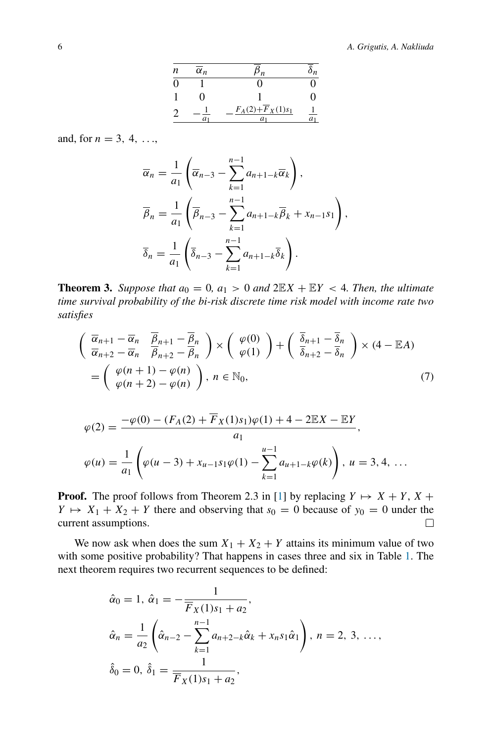#### 6 *A. Grigutis, A. Nakliuda*

| n        | $\overline{\alpha}_n$ | n <sub>n</sub>                            | $\mathfrak{o}_n$ |
|----------|-----------------------|-------------------------------------------|------------------|
| $\Omega$ |                       | 0                                         |                  |
|          | 0                     |                                           |                  |
|          | a <sub>1</sub>        | $F_A(2) + \overline{F}_X(1) s_1$<br>$a_1$ | $\frac{1}{a_1}$  |

and, for  $n = 3, 4, ...,$ 

$$
\overline{\alpha}_n = \frac{1}{a_1} \left( \overline{\alpha}_{n-3} - \sum_{k=1}^{n-1} a_{n+1-k} \overline{\alpha}_k \right),
$$
  

$$
\overline{\beta}_n = \frac{1}{a_1} \left( \overline{\beta}_{n-3} - \sum_{k=1}^{n-1} a_{n+1-k} \overline{\beta}_k + x_{n-1} s_1 \right),
$$
  

$$
\overline{\delta}_n = \frac{1}{a_1} \left( \overline{\delta}_{n-3} - \sum_{k=1}^{n-1} a_{n+1-k} \overline{\delta}_k \right).
$$

<span id="page-5-0"></span>**Theorem 3.** *Suppose that*  $a_0 = 0$ ,  $a_1 > 0$  *and*  $2\mathbb{E}X + \mathbb{E}Y < 4$ *. Then, the ultimate time survival probability of the bi-risk discrete time risk model with income rate two satisfies*

$$
\begin{aligned}\n\left(\begin{array}{cc}\n\overline{\alpha}_{n+1} - \overline{\alpha}_n & \overline{\beta}_{n+1} - \overline{\beta}_n \\
\overline{\alpha}_{n+2} - \overline{\alpha}_n & \overline{\beta}_{n+2} - \overline{\beta}_n\n\end{array}\right) \times \begin{pmatrix}\n\varphi(0) \\
\varphi(1)\n\end{pmatrix} + \begin{pmatrix}\n\overline{\delta}_{n+1} - \overline{\delta}_n \\
\overline{\delta}_{n+2} - \overline{\delta}_n\n\end{pmatrix} \times (4 - \mathbb{E}A) \\
= \begin{pmatrix}\n\varphi(n+1) - \varphi(n) \\
\varphi(n+2) - \varphi(n)\n\end{pmatrix}, \, n \in \mathbb{N}_0,\n\end{aligned} \tag{7}
$$

$$
\varphi(2) = \frac{-\varphi(0) - (F_A(2) + \overline{F}_X(1)s_1)\varphi(1) + 4 - 2\mathbb{E}X - \mathbb{E}Y}{a_1},
$$
  

$$
\varphi(u) = \frac{1}{a_1} \left( \varphi(u-3) + x_{u-1}s_1\varphi(1) - \sum_{k=1}^{u-1} a_{u+1-k}\varphi(k) \right), u = 3, 4, ...
$$

**Proof.** The proof follows from Theorem 2.3 in [\[1\]](#page-10-0) by replacing  $Y \mapsto X + Y$ ,  $X + Y$  $Y \mapsto X_1 + X_2 + Y$  there and observing that  $s_0 = 0$  because of  $y_0 = 0$  under the current assumptions. □

We now ask when does the sum  $X_1 + X_2 + Y$  attains its minimum value of two with some positive probability? That happens in cases three and six in Table [1.](#page-2-0) The next theorem requires two recurrent sequences to be defined:

$$
\hat{\alpha}_0 = 1, \ \hat{\alpha}_1 = -\frac{1}{\overline{F}_X(1)s_1 + a_2},
$$
\n
$$
\hat{\alpha}_n = \frac{1}{a_2} \left( \hat{\alpha}_{n-2} - \sum_{k=1}^{n-1} a_{n+2-k} \hat{\alpha}_k + x_n s_1 \hat{\alpha}_1 \right), \ n = 2, 3, \ \dots,
$$
\n
$$
\hat{\delta}_0 = 0, \ \hat{\delta}_1 = \frac{1}{\overline{F}_X(1)s_1 + a_2},
$$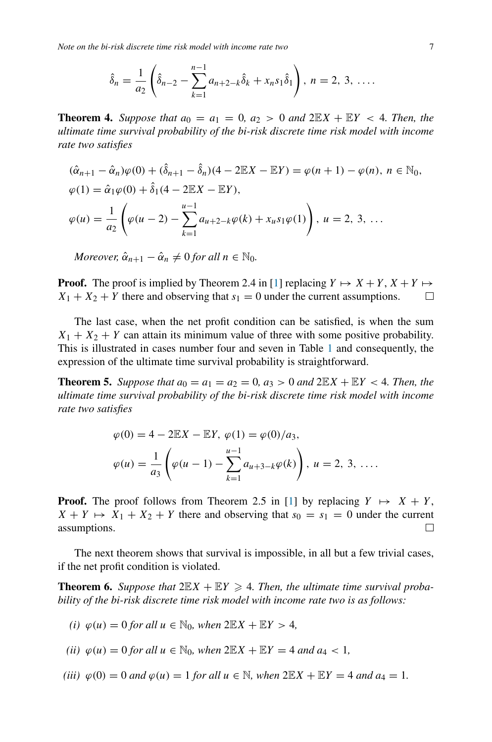*Note on the bi-risk discrete time risk model with income rate two* 7

$$
\hat{\delta}_n = \frac{1}{a_2} \left( \hat{\delta}_{n-2} - \sum_{k=1}^{n-1} a_{n+2-k} \hat{\delta}_k + x_n s_1 \hat{\delta}_1 \right), \ n = 2, 3, \ \ldots
$$

<span id="page-6-2"></span>**Theorem 4.** *Suppose that*  $a_0 = a_1 = 0$ ,  $a_2 > 0$  *and*  $2\mathbb{E}X + \mathbb{E}Y < 4$ *. Then, the ultimate time survival probability of the bi-risk discrete time risk model with income rate two satisfies*

$$
(\hat{\alpha}_{n+1} - \hat{\alpha}_n)\varphi(0) + (\hat{\delta}_{n+1} - \hat{\delta}_n)(4 - 2\mathbb{E}X - \mathbb{E}Y) = \varphi(n+1) - \varphi(n), \ n \in \mathbb{N}_0,
$$
  
\n
$$
\varphi(1) = \hat{\alpha}_1\varphi(0) + \hat{\delta}_1(4 - 2\mathbb{E}X - \mathbb{E}Y),
$$
  
\n
$$
\varphi(u) = \frac{1}{a_2} \left( \varphi(u-2) - \sum_{k=1}^{u-1} a_{u+2-k}\varphi(k) + x_us_1\varphi(1) \right), \ u = 2, 3, \dots
$$

*Moreover,*  $\hat{\alpha}_{n+1} - \hat{\alpha}_n \neq 0$  *for all*  $n \in \mathbb{N}_0$ *.* 

**Proof.** The proof is implied by Theorem 2.4 in [\[1](#page-10-0)] replacing  $Y \mapsto X + Y$ ,  $X + Y \mapsto Y$  $X_1 + X_2 + Y$  there and observing that  $s_1 = 0$  under the current assumptions. □

The last case, when the net profit condition can be satisfied, is when the sum  $X_1 + X_2 + Y$  can attain its minimum value of three with some positive probability. This is illustrated in cases number four and seven in Table [1](#page-2-0) and consequently, the expression of the ultimate time survival probability is straightforward.

<span id="page-6-1"></span>**Theorem 5.** Suppose that  $a_0 = a_1 = a_2 = 0$ ,  $a_3 > 0$  and  $2\mathbb{E}X + \mathbb{E}Y < 4$ . Then, the *ultimate time survival probability of the bi-risk discrete time risk model with income rate two satisfies*

$$
\varphi(0) = 4 - 2\mathbb{E}X - \mathbb{E}Y, \ \varphi(1) = \varphi(0)/a_3,
$$
  

$$
\varphi(u) = \frac{1}{a_3} \left( \varphi(u-1) - \sum_{k=1}^{u-1} a_{u+3-k} \varphi(k) \right), \ u = 2, 3, \ \dots.
$$

**Proof.** The proof follows from Theorem 2.5 in [\[1\]](#page-10-0) by replacing  $Y \mapsto X + Y$ ,  $X + Y \mapsto X_1 + X_2 + Y$  there and observing that  $s_0 = s_1 = 0$  under the current assumptions. 口

The next theorem shows that survival is impossible, in all but a few trivial cases, if the net profit condition is violated.

<span id="page-6-0"></span>**Theorem 6.** Suppose that  $2\mathbb{E}X + \mathbb{E}Y \ge 4$ . Then, the ultimate time survival proba*bility of the bi-risk discrete time risk model with income rate two is as follows:*

(i) 
$$
\varphi(u) = 0
$$
 for all  $u \in \mathbb{N}_0$ , when  $2\mathbb{E}X + \mathbb{E}Y > 4$ ,

(*ii*) 
$$
\varphi(u) = 0
$$
 for all  $u \in \mathbb{N}_0$ , when  $2\mathbb{E}X + \mathbb{E}Y = 4$  and  $a_4 < 1$ ,

(iii) 
$$
\varphi(0) = 0
$$
 and  $\varphi(u) = 1$  for all  $u \in \mathbb{N}$ , when  $2\mathbb{E}X + \mathbb{E}Y = 4$  and  $a_4 = 1$ .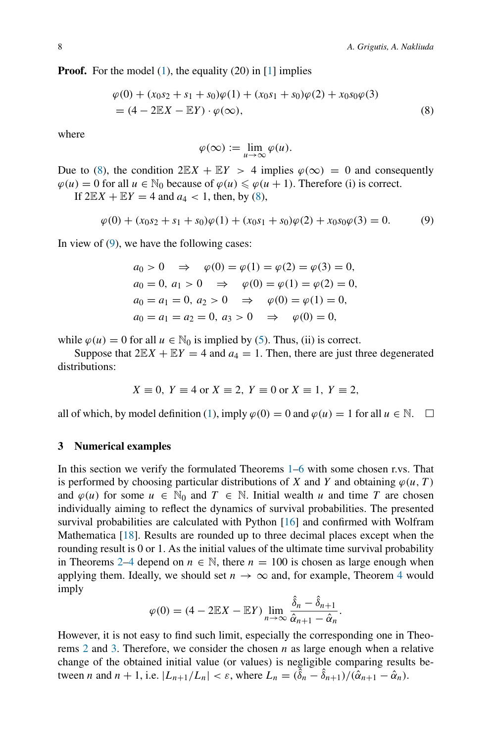**Proof.** For the model [\(1\)](#page-1-0), the equality (20) in [\[1\]](#page-10-0) implies

$$
\varphi(0) + (x_0s_2 + s_1 + s_0)\varphi(1) + (x_0s_1 + s_0)\varphi(2) + x_0s_0\varphi(3)
$$
  
=  $(4 - 2\mathbb{E}X - \mathbb{E}Y) \cdot \varphi(\infty),$  (8)

where

<span id="page-7-2"></span><span id="page-7-1"></span>
$$
\varphi(\infty) := \lim_{u \to \infty} \varphi(u).
$$

Due to [\(8\)](#page-7-1), the condition  $2\mathbb{E}X + \mathbb{E}Y > 4$  implies  $\varphi(\infty) = 0$  and consequently  $\varphi(u) = 0$  for all  $u \in \mathbb{N}_0$  because of  $\varphi(u) \leq \varphi(u + 1)$ . Therefore (i) is correct.

If  $2\mathbb{E}X + \mathbb{E}Y = 4$  and  $a_4 < 1$ , then, by [\(8\)](#page-7-1),

$$
\varphi(0) + (x_0s_2 + s_1 + s_0)\varphi(1) + (x_0s_1 + s_0)\varphi(2) + x_0s_0\varphi(3) = 0.
$$
 (9)

In view of  $(9)$ , we have the following cases:

$$
a_0 > 0 \Rightarrow \varphi(0) = \varphi(1) = \varphi(2) = \varphi(3) = 0,
$$
  
\n $a_0 = 0, a_1 > 0 \Rightarrow \varphi(0) = \varphi(1) = \varphi(2) = 0,$   
\n $a_0 = a_1 = 0, a_2 > 0 \Rightarrow \varphi(0) = \varphi(1) = 0,$   
\n $a_0 = a_1 = a_2 = 0, a_3 > 0 \Rightarrow \varphi(0) = 0,$ 

while  $\varphi(u) = 0$  for all  $u \in \mathbb{N}_0$  is implied by [\(5\)](#page-2-1). Thus, (ii) is correct.

Suppose that  $2\mathbb{E}X + \mathbb{E}Y = 4$  and  $a_4 = 1$ . Then, there are just three degenerated distributions:

$$
X \equiv 0, Y \equiv 4 \text{ or } X \equiv 2, Y \equiv 0 \text{ or } X \equiv 1, Y \equiv 2,
$$

all of which, by model definition [\(1\)](#page-1-0), imply  $\varphi(0) = 0$  and  $\varphi(u) = 1$  for all  $u \in \mathbb{N}$ .  $\Box$ 

#### <span id="page-7-0"></span>**3 Numerical examples**

In this section we verify the formulated Theorems [1–](#page-3-1)[6](#page-6-0) with some chosen r.vs. That is performed by choosing particular distributions of *X* and *Y* and obtaining  $\varphi(u, T)$ and  $\varphi(u)$  for some  $u \in \mathbb{N}_0$  and  $T \in \mathbb{N}$ . Initial wealth *u* and time *T* are chosen individually aiming to reflect the dynamics of survival probabilities. The presented survival probabilities are calculated with Python [\[16\]](#page-11-13) and confirmed with Wolfram Mathematica [\[18](#page-11-14)]. Results are rounded up to three decimal places except when the rounding result is 0 or 1. As the initial values of the ultimate time survival probability in Theorems [2](#page-4-0)[–4](#page-6-2) depend on  $n \in \mathbb{N}$ , there  $n = 100$  is chosen as large enough when applying them. Ideally, we should set  $n \to \infty$  and, for example, Theorem [4](#page-6-2) would imply

$$
\varphi(0) = (4 - 2\mathbb{E}X - \mathbb{E}Y) \lim_{n \to \infty} \frac{\hat{\delta}_n - \hat{\delta}_{n+1}}{\hat{\alpha}_{n+1} - \hat{\alpha}_n}.
$$

However, it is not easy to find such limit, especially the corresponding one in Theorems [2](#page-4-0) and [3.](#page-5-0) Therefore, we consider the chosen *n* as large enough when a relative change of the obtained initial value (or values) is negligible comparing results between *n* and  $n + 1$ , i.e.  $|L_{n+1}/L_n| < \varepsilon$ , where  $L_n = (\overline{\hat{\delta}}_n - \hat{\delta}_{n+1})/(\hat{\alpha}_{n+1} - \hat{\alpha}_n)$ .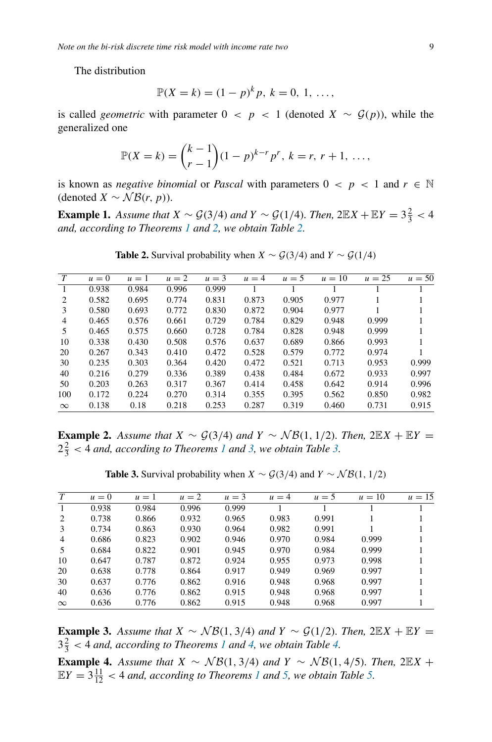The distribution

$$
\mathbb{P}(X = k) = (1 - p)^k p, k = 0, 1, \dots,
$$

is called *geometric* with parameter  $0 < p < 1$  (denoted  $X \sim \mathcal{G}(p)$ ), while the generalized one

$$
\mathbb{P}(X = k) = {k-1 \choose r-1} (1-p)^{k-r} p^r, \ k = r, \ r+1, \ \ldots,
$$

is known as *negative binomial* or *Pascal* with parameters  $0 < p < 1$  and  $r \in \mathbb{N}$ (denoted  $X \sim \mathcal{NB}(r, p)$ ).

<span id="page-8-0"></span>**Example 1.** *Assume that*  $X \sim \mathcal{G}(3/4)$  *and*  $Y \sim \mathcal{G}(1/4)$ *. Then,*  $2\mathbb{E}X + \mathbb{E}Y = 3\frac{2}{3} < 4$ *and, according to Theorems [1](#page-3-1) and [2,](#page-4-0) we obtain Table [2.](#page-8-0)*

| T              | $u=0$ | $u=1$ | $u=2$ | $u = 3$ | $u = 4$ | $u = 5$ | $u=10$ | $u = 25$ | $u = 50$ |
|----------------|-------|-------|-------|---------|---------|---------|--------|----------|----------|
|                | 0.938 | 0.984 | 0.996 | 0.999   |         |         |        |          |          |
| $\overline{c}$ | 0.582 | 0.695 | 0.774 | 0.831   | 0.873   | 0.905   | 0.977  |          |          |
| 3              | 0.580 | 0.693 | 0.772 | 0.830   | 0.872   | 0.904   | 0.977  |          |          |
| 4              | 0.465 | 0.576 | 0.661 | 0.729   | 0.784   | 0.829   | 0.948  | 0.999    |          |
| 5              | 0.465 | 0.575 | 0.660 | 0.728   | 0.784   | 0.828   | 0.948  | 0.999    |          |
| 10             | 0.338 | 0.430 | 0.508 | 0.576   | 0.637   | 0.689   | 0.866  | 0.993    |          |
| 20             | 0.267 | 0.343 | 0.410 | 0.472   | 0.528   | 0.579   | 0.772  | 0.974    |          |
| 30             | 0.235 | 0.303 | 0.364 | 0.420   | 0.472   | 0.521   | 0.713  | 0.953    | 0.999    |
| 40             | 0.216 | 0.279 | 0.336 | 0.389   | 0.438   | 0.484   | 0.672  | 0.933    | 0.997    |
| 50             | 0.203 | 0.263 | 0.317 | 0.367   | 0.414   | 0.458   | 0.642  | 0.914    | 0.996    |
| 100            | 0.172 | 0.224 | 0.270 | 0.314   | 0.355   | 0.395   | 0.562  | 0.850    | 0.982    |
| $\infty$       | 0.138 | 0.18  | 0.218 | 0.253   | 0.287   | 0.319   | 0.460  | 0.731    | 0.915    |
|                |       |       |       |         |         |         |        |          |          |

**Table 2.** Survival probability when *X* ∼  $\mathcal{G}(3/4)$  and  $Y \sim \mathcal{G}(1/4)$ 

<span id="page-8-1"></span>**Example 2.** Assume that  $X \sim \mathcal{G}(3/4)$  and  $Y \sim \mathcal{NB}(1, 1/2)$ *. Then,* 2 $\mathbb{E}X + \mathbb{E}Y =$  $2\frac{2}{3}$  < 4 *and, according to Theorems [1](#page-3-1) and [3,](#page-5-0) we obtain Table [3.](#page-8-1)* 

| $\tau$         | $u=0$ | $\mu = 1$ | $u=2$ | $u = 3$ | $u = 4$ | $u=5$ | $u=10$ | $u=15$ |
|----------------|-------|-----------|-------|---------|---------|-------|--------|--------|
| -1             | 0.938 | 0.984     | 0.996 | 0.999   |         |       |        |        |
| 2              | 0.738 | 0.866     | 0.932 | 0.965   | 0.983   | 0.991 |        |        |
| 3              | 0.734 | 0.863     | 0.930 | 0.964   | 0.982   | 0.991 |        |        |
| $\overline{4}$ | 0.686 | 0.823     | 0.902 | 0.946   | 0.970   | 0.984 | 0.999  |        |
| .5             | 0.684 | 0.822     | 0.901 | 0.945   | 0.970   | 0.984 | 0.999  |        |
| 10             | 0.647 | 0.787     | 0.872 | 0.924   | 0.955   | 0.973 | 0.998  |        |
| 20             | 0.638 | 0.778     | 0.864 | 0.917   | 0.949   | 0.969 | 0.997  |        |
| 30             | 0.637 | 0.776     | 0.862 | 0.916   | 0.948   | 0.968 | 0.997  |        |
| 40             | 0.636 | 0.776     | 0.862 | 0.915   | 0.948   | 0.968 | 0.997  |        |
| $\infty$       | 0.636 | 0.776     | 0.862 | 0.915   | 0.948   | 0.968 | 0.997  |        |

**Table 3.** Survival probability when *X* ∼  $G(3/4)$  and  $Y \sim \mathcal{NB}(1, 1/2)$ 

**Example 3.** Assume that  $X \sim \mathcal{NB}(1, 3/4)$  and  $Y \sim \mathcal{G}(1/2)$ . Then,  $2\mathbb{E}X + \mathbb{E}Y =$  $3\frac{2}{3}$  < 4 *and, according to Theorems [1](#page-3-1) and [4,](#page-6-2) we obtain Table [4.](#page-9-0)* 

**Example 4.** Assume that  $X \sim \mathcal{NB}(1, 3/4)$  and  $Y \sim \mathcal{NB}(1, 4/5)$ *. Then,* 2EX +  $EY = 3\frac{11}{12} < 4$  $EY = 3\frac{11}{12} < 4$  $EY = 3\frac{11}{12} < 4$  *and, according to Theorems 1 and [5,](#page-6-1) we obtain Table [5.](#page-9-1)*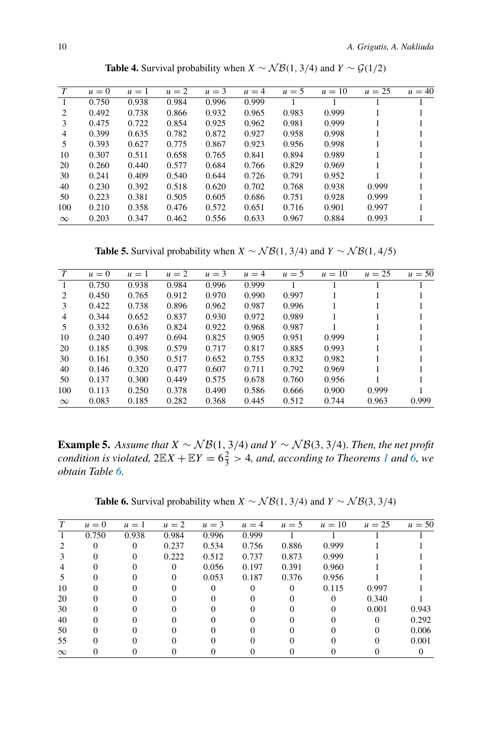<span id="page-9-0"></span>

| T        | $u=0$ | $u=1$ | $u=2$ | $u = 3$ | $u = 4$ | $u = 5$ | $u=10$ | $u = 25$ | $u = 40$ |
|----------|-------|-------|-------|---------|---------|---------|--------|----------|----------|
|          | 0.750 | 0.938 | 0.984 | 0.996   | 0.999   |         |        |          |          |
| 2        | 0.492 | 0.738 | 0.866 | 0.932   | 0.965   | 0.983   | 0.999  |          |          |
| 3        | 0.475 | 0.722 | 0.854 | 0.925   | 0.962   | 0.981   | 0.999  |          |          |
| 4        | 0.399 | 0.635 | 0.782 | 0.872   | 0.927   | 0.958   | 0.998  |          |          |
| 5        | 0.393 | 0.627 | 0.775 | 0.867   | 0.923   | 0.956   | 0.998  |          |          |
| 10       | 0.307 | 0.511 | 0.658 | 0.765   | 0.841   | 0.894   | 0.989  |          |          |
| 20       | 0.260 | 0.440 | 0.577 | 0.684   | 0.766   | 0.829   | 0.969  |          |          |
| 30       | 0.241 | 0.409 | 0.540 | 0.644   | 0.726   | 0.791   | 0.952  |          |          |
| 40       | 0.230 | 0.392 | 0.518 | 0.620   | 0.702   | 0.768   | 0.938  | 0.999    |          |
| 50       | 0.223 | 0.381 | 0.505 | 0.605   | 0.686   | 0.751   | 0.928  | 0.999    |          |
| 100      | 0.210 | 0.358 | 0.476 | 0.572   | 0.651   | 0.716   | 0.901  | 0.997    |          |
| $\infty$ | 0.203 | 0.347 | 0.462 | 0.556   | 0.633   | 0.967   | 0.884  | 0.993    |          |
|          |       |       |       |         |         |         |        |          |          |

**Table 4.** Survival probability when *X* ∼  $\mathcal{NB}(1, 3/4)$  and  $Y \sim \mathcal{G}(1/2)$ 

**Table 5.** Survival probability when *X* ∼  $\mathcal{NB}(1, 3/4)$  and *Y* ∼  $\mathcal{NB}(1, 4/5)$ 

<span id="page-9-1"></span>

| T        | $u=0$ | $u=1$ | $u=2$ | $u = 3$ | $u = 4$ | $u = 5$ | $u=10$ | $u = 25$ | $u = 50$ |
|----------|-------|-------|-------|---------|---------|---------|--------|----------|----------|
|          | 0.750 | 0.938 | 0.984 | 0.996   | 0.999   |         |        |          |          |
| 2        | 0.450 | 0.765 | 0.912 | 0.970   | 0.990   | 0.997   |        |          |          |
| 3        | 0.422 | 0.738 | 0.896 | 0.962   | 0.987   | 0.996   |        |          |          |
| 4        | 0.344 | 0.652 | 0.837 | 0.930   | 0.972   | 0.989   |        |          |          |
| 5        | 0.332 | 0.636 | 0.824 | 0.922   | 0.968   | 0.987   |        |          |          |
| 10       | 0.240 | 0.497 | 0.694 | 0.825   | 0.905   | 0.951   | 0.999  |          |          |
| 20       | 0.185 | 0.398 | 0.579 | 0.717   | 0.817   | 0.885   | 0.993  |          |          |
| 30       | 0.161 | 0.350 | 0.517 | 0.652   | 0.755   | 0.832   | 0.982  |          |          |
| 40       | 0.146 | 0.320 | 0.477 | 0.607   | 0.711   | 0.792   | 0.969  |          |          |
| 50       | 0.137 | 0.300 | 0.449 | 0.575   | 0.678   | 0.760   | 0.956  |          |          |
| 100      | 0.113 | 0.250 | 0.378 | 0.490   | 0.586   | 0.666   | 0.900  | 0.999    |          |
| $\infty$ | 0.083 | 0.185 | 0.282 | 0.368   | 0.445   | 0.512   | 0.744  | 0.963    | 0.999    |

**Example 5.** *Assume that X* ∼ N B*(*1*,* 3*/*4*) and Y* ∼ N B*(*3*,* 3*/*4*). Then, the net profit condition is violated,*  $2\mathbb{E}X + \mathbb{E}Y = 6\frac{2}{3} > 4$ *, and, according to Theorems [1](#page-3-1) and [6,](#page-6-0) we obtain Table [6.](#page-9-2)*

**Table 6.** Survival probability when *X* ∼  $\mathcal{NB}(1, 3/4)$  and *Y* ∼  $\mathcal{NB}(3, 3/4)$ 

<span id="page-9-2"></span>

|          | $u=0$ | $u=1$ | $u=2$ | $u = 3$ | $u = 4$ | $u = 5$  | $u=10$ | $u = 25$ | $u = 50$ |
|----------|-------|-------|-------|---------|---------|----------|--------|----------|----------|
|          | 0.750 | 0.938 | 0.984 | 0.996   | 0.999   |          |        |          |          |
|          |       |       | 0.237 | 0.534   | 0.756   | 0.886    | 0.999  |          |          |
|          |       |       | 0.222 | 0.512   | 0.737   | 0.873    | 0.999  |          |          |
| 4        |       |       |       | 0.056   | 0.197   | 0.391    | 0.960  |          |          |
|          |       |       | 0     | 0.053   | 0.187   | 0.376    | 0.956  |          |          |
| 10       |       |       |       |         |         | $\Omega$ | 0.115  | 0.997    |          |
| 20       |       |       |       |         |         |          |        | 0.340    |          |
| 30       |       |       |       |         |         |          |        | 0.001    | 0.943    |
| 40       |       |       |       |         |         |          |        |          | 0.292    |
| 50       |       |       |       |         |         |          |        |          | 0.006    |
| 55       |       |       |       |         |         |          |        |          | 0.001    |
| $\infty$ |       |       |       |         |         |          |        |          |          |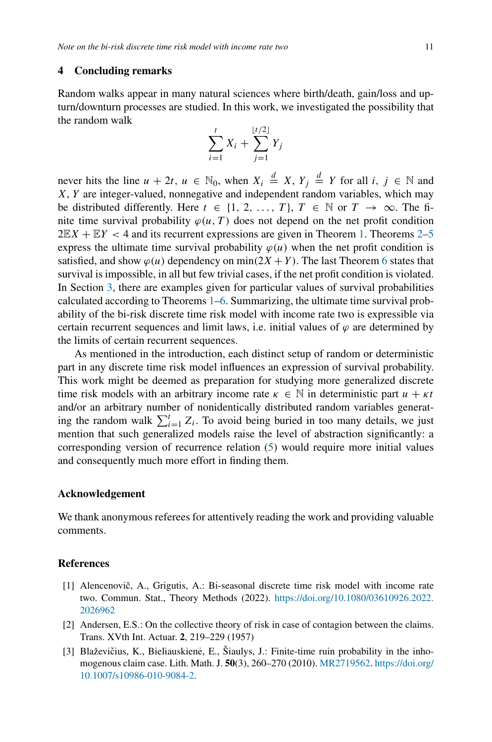## <span id="page-10-2"></span>**4 Concluding remarks**

Random walks appear in many natural sciences where birth/death, gain/loss and upturn/downturn processes are studied. In this work, we investigated the possibility that the random walk

$$
\sum_{i=1}^{t} X_i + \sum_{j=1}^{\lfloor t/2 \rfloor} Y_j
$$

never hits the line  $u + 2t$ ,  $u \in \mathbb{N}_0$ , when  $X_i \stackrel{d}{=} X$ ,  $Y_j \stackrel{d}{=} Y$  for all  $i, j \in \mathbb{N}$  and *X*, *Y* are integer-valued, nonnegative and independent random variables, which may be distributed differently. Here  $t \in \{1, 2, ..., T\}$ ,  $T \in \mathbb{N}$  or  $T \to \infty$ . The finite time survival probability  $\varphi(u, T)$  does not depend on the net profit condition  $2E[X] + E[Y] < 4$  $2E[X] + E[Y] < 4$  and its recurrent expressions are given in Theorem [1.](#page-3-1) Theorems 2[–5](#page-6-1) express the ultimate time survival probability  $\varphi(u)$  when the net profit condition is satisfied, and show  $\varphi(u)$  dependency on min $(2X + Y)$ . The last Theorem [6](#page-6-0) states that survival is impossible, in all but few trivial cases, if the net profit condition is violated. In Section [3,](#page-7-0) there are examples given for particular values of survival probabilities calculated according to Theorems [1](#page-3-1)[–6.](#page-6-0) Summarizing, the ultimate time survival probability of the bi-risk discrete time risk model with income rate two is expressible via certain recurrent sequences and limit laws, i.e. initial values of  $\varphi$  are determined by the limits of certain recurrent sequences.

As mentioned in the introduction, each distinct setup of random or deterministic part in any discrete time risk model influences an expression of survival probability. This work might be deemed as preparation for studying more generalized discrete time risk models with an arbitrary income rate  $\kappa \in \mathbb{N}$  in deterministic part  $u + \kappa t$ and/or an arbitrary number of nonidentically distributed random variables generating the random walk  $\sum_{i=1}^{t} Z_i$ . To avoid being buried in too many details, we just mention that such generalized models raise the level of abstraction significantly: a corresponding version of recurrence relation [\(5\)](#page-2-1) would require more initial values and consequently much more effort in finding them.

#### **Acknowledgement**

We thank anonymous referees for attentively reading the work and providing valuable comments.

## **References**

- <span id="page-10-0"></span>[1] Alencenovič, A., Grigutis, A.: Bi-seasonal discrete time risk model with income rate two. Commun. Stat., Theory Methods (2022). [https://doi.org/10.1080/03610926.2022.](https://doi.org/10.1080/03610926.2022.2026962) [2026962](https://doi.org/10.1080/03610926.2022.2026962)
- <span id="page-10-1"></span>[2] Andersen, E.S.: On the collective theory of risk in case of contagion between the claims. Trans. XVth Int. Actuar. **2**, 219–229 (1957)
- <span id="page-10-3"></span>[3] Blaževičius, K., Bieliauskienė, E., Šiaulys, J.: Finite-time ruin probability in the inhomogenous claim case. Lith. Math. J. **50**(3), 260–270 (2010). [MR2719562.](http://www.ams.org/mathscinet-getitem?mr=2719562) [https://doi.org/](https://doi.org/10.1007/s10986-010-9084-2) [10.1007/s10986-010-9084-2.](https://doi.org/10.1007/s10986-010-9084-2)